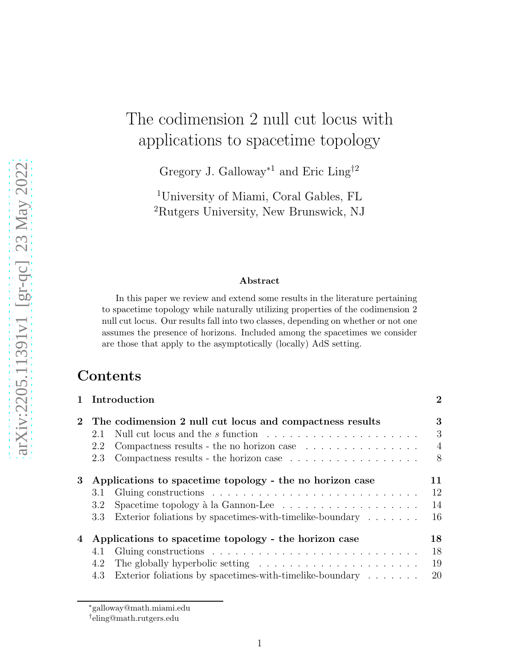# The codimension 2 null cut locus with applications to spacetime topology

Gregory J. Galloway<sup>\*1</sup> and Eric Ling<sup>†2</sup>

<sup>1</sup>University of Miami, Coral Gables, FL <sup>2</sup>Rutgers University, New Brunswick, NJ

#### Abstract

In this paper we review and extend some results in the literature pertaining to spacetime topology while naturally utilizing properties of the codimension 2 null cut locus. Our results fall into two classes, depending on whether or not one assumes the presence of horizons. Included among the spacetimes we consider are those that apply to the asymptotically (locally) AdS setting.

## **Contents**

|       | 1 Introduction                                                                           | $\overline{2}$ |  |
|-------|------------------------------------------------------------------------------------------|----------------|--|
|       | 2 The codimension 2 null cut locus and compactness results                               | 3              |  |
|       | Null cut locus and the $s$ function $\ldots \ldots \ldots \ldots \ldots \ldots$<br>2.1   | 3              |  |
|       | Compactness results - the no horizon case $\ldots \ldots \ldots \ldots \ldots$<br>2.2    | $\overline{4}$ |  |
|       | Compactness results - the horizon case $\ldots \ldots \ldots \ldots \ldots$<br>2.3       | 8              |  |
| $3\,$ | Applications to spacetime topology - the no horizon case                                 | 11             |  |
|       | 3.1                                                                                      | 12             |  |
|       | Spacetime topology à la Gannon-Lee $\dots \dots \dots \dots \dots \dots$<br>3.2          | 14             |  |
|       | Exterior foliations by spacetimes-with-timelike-boundary $\dots \dots$<br>3.3            | 16             |  |
| 4     | Applications to spacetime topology - the horizon case                                    | 18             |  |
|       | 4.1                                                                                      | 18             |  |
|       | The globally hyperbolic setting $\dots \dots \dots \dots \dots \dots \dots \dots$<br>4.2 | 19             |  |
|       | Exterior foliations by spacetimes-with-timelike-boundary $\dots \dots$<br>4.3            | 20             |  |
|       |                                                                                          |                |  |

<sup>∗</sup>galloway@math.miami.edu

<sup>†</sup> eling@math.rutgers.edu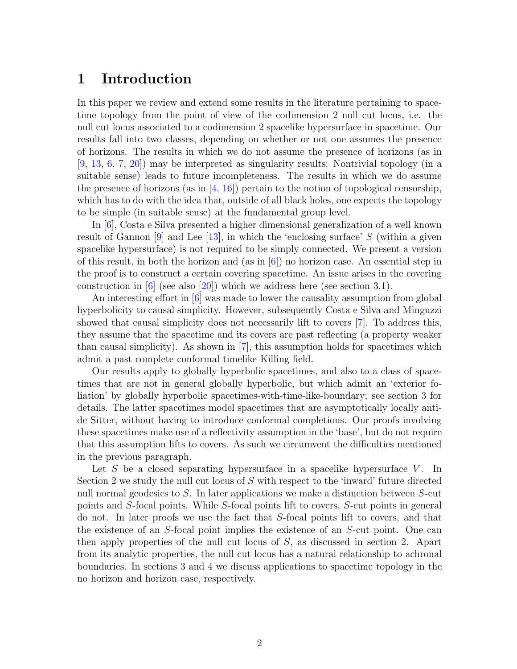## <span id="page-1-0"></span>1 Introduction

In this paper we review and extend some results in the literature pertaining to spacetime topology from the point of view of the codimension 2 null cut locus, i.e. the null cut locus associated to a codimension 2 spacelike hypersurface in spacetime. Our results fall into two classes, depending on whether or not one assumes the presence of horizons. The results in which we do not assume the presence of horizons (as in [\[9,](#page-20-0) [13,](#page-21-0) [6,](#page-20-1) [7,](#page-20-2) [20\]](#page-21-1)) may be interpreted as singularity results: Nontrivial topology (in a suitable sense) leads to future incompleteness. The results in which we do assume the presence of horizons (as in  $[4, 16]$  $[4, 16]$ ) pertain to the notion of topological censorship, which has to do with the idea that, outside of all black holes, one expects the topology to be simple (in suitable sense) at the fundamental group level.

In [\[6\]](#page-20-1), Costa e Silva presented a higher dimensional generalization of a well known result of Gannon  $[9]$  and Lee  $[13]$ , in which the 'enclosing surface' S (within a given spacelike hypersurface) is not required to be simply connected. We present a version of this result, in both the horizon and (as in  $[6]$ ) no horizon case. An essential step in the proof is to construct a certain covering spacetime. An issue arises in the covering construction in [\[6\]](#page-20-1) (see also [\[20\]](#page-21-1)) which we address here (see section [3.1\)](#page-11-0).

An interesting effort in [\[6\]](#page-20-1) was made to lower the causality assumption from global hyperbolicity to causal simplicity. However, subsequently Costa e Silva and Minguzzi showed that causal simplicity does not necessarily lift to covers [\[7\]](#page-20-2). To address this, they assume that the spacetime and its covers are past reflecting (a property weaker than causal simplicity). As shown in [\[7\]](#page-20-2), this assumption holds for spacetimes which admit a past complete conformal timelike Killing field.

Our results apply to globally hyperbolic spacetimes, and also to a class of spacetimes that are not in general globally hyperbolic, but which admit an 'exterior foliation' by globally hyperbolic spacetimes-with-time-like-boundary; see section [3](#page-10-0) for details. The latter spacetimes model spacetimes that are asymptotically locally antide Sitter, without having to introduce conformal completions. Our proofs involving these spacetimes make use of a reflectivity assumption in the 'base', but do not require that this assumption lifts to covers. As such we circumvent the difficulties mentioned in the previous paragraph.

Let  $S$  be a closed separating hypersurface in a spacelike hypersurface  $V$ . In Section [2](#page-2-0) we study the null cut locus of S with respect to the 'inward' future directed null normal geodesics to S. In later applications we make a distinction between S-cut points and S-focal points. While S-focal points lift to covers, S-cut points in general do not. In later proofs we use the fact that S-focal points lift to covers, and that the existence of an S-focal point implies the existence of an S-cut point. One can then apply properties of the null cut locus of  $S$ , as discussed in section [2.](#page-2-0) Apart from its analytic properties, the null cut locus has a natural relationship to achronal boundaries. In sections [3](#page-10-0) and [4](#page-17-0) we discuss applications to spacetime topology in the no horizon and horizon case, respectively.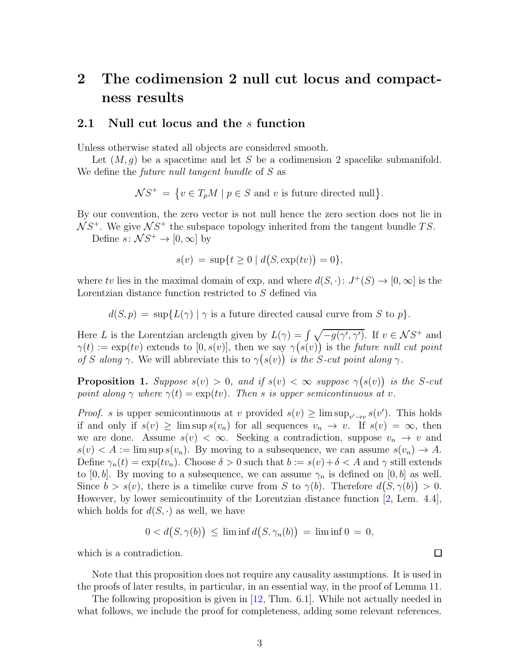## <span id="page-2-0"></span>2 The codimension 2 null cut locus and compactness results

### <span id="page-2-1"></span>2.1 Null cut locus and the s function

Unless otherwise stated all objects are considered smooth.

Let  $(M, q)$  be a spacetime and let S be a codimension 2 spacelike submanifold. We define the *future null tangent bundle* of S as

 $\mathcal{N}S^+ = \{ v \in T_pM \mid p \in S \text{ and } v \text{ is future directed null} \}.$ 

By our convention, the zero vector is not null hence the zero section does not lie in  $NS^{+}$ . We give  $NS^{+}$  the subspace topology inherited from the tangent bundle TS.

Define  $s: \mathcal{N}S^+ \to [0, \infty]$  by

$$
s(v) = \sup\{t \ge 0 \mid d(S, \exp(tv)) = 0\},\
$$

where tv lies in the maximal domain of exp, and where  $d(S, \cdot): J^+(S) \to [0, \infty]$  is the Lorentzian distance function restricted to S defined via

 $d(S, p) = \sup \{ L(\gamma) \mid \gamma \text{ is a future directed causal curve from } S \text{ to } p \}.$ 

Here L is the Lorentzian arclength given by  $L(\gamma) = \int \sqrt{-g(\gamma', \gamma')}$ . If  $v \in \mathcal{N}S^+$  and  $\gamma(t) := \exp(tv)$  extends to  $[0, s(v)]$ , then we say  $\gamma(s(v))$  is the future null cut point of S along  $\gamma$ . We will abbreviate this to  $\gamma(s(v))$  is the S-cut point along  $\gamma$ .

<span id="page-2-2"></span>**Proposition 1.** Suppose  $s(v) > 0$ , and if  $s(v) < \infty$  suppose  $\gamma(s(v))$  is the S-cut point along  $\gamma$  where  $\gamma(t) = \exp(tv)$ . Then s is upper semicontinuous at v.

*Proof.* s is upper semicontinuous at v provided  $s(v) \geq \limsup_{v' \to v} s(v')$ . This holds if and only if  $s(v) \ge \limsup s(v_n)$  for all sequences  $v_n \to v$ . If  $s(v) = \infty$ , then we are done. Assume  $s(v) < \infty$ . Seeking a contradiction, suppose  $v_n \to v$  and  $s(v) < A := \limsup s(v_n)$ . By moving to a subsequence, we can assume  $s(v_n) \to A$ . Define  $\gamma_n(t) = \exp(tv_n)$ . Choose  $\delta > 0$  such that  $b := s(v) + \delta < A$  and  $\gamma$  still extends to [0, b]. By moving to a subsequence, we can assume  $\gamma_n$  is defined on [0, b] as well. Since  $b > s(v)$ , there is a timelike curve from S to  $\gamma(b)$ . Therefore  $d(S, \gamma(b)) > 0$ . However, by lower semicontinuity of the Lorentzian distance function [\[2,](#page-20-4) Lem. 4.4], which holds for  $d(S, \cdot)$  as well, we have

$$
0 < d(S, \gamma(b)) \le \liminf d(S, \gamma_n(b)) = \liminf 0 = 0,
$$

which is a contradiction.

Note that this proposition does not require any causality assumptions. It is used in the proofs of later results, in particular, in an essential way, in the proof of Lemma [11.](#page-8-0)

The following proposition is given in [\[12,](#page-21-3) Thm. 6.1]. While not actually needed in what follows, we include the proof for completeness, adding some relevant references.

 $\Box$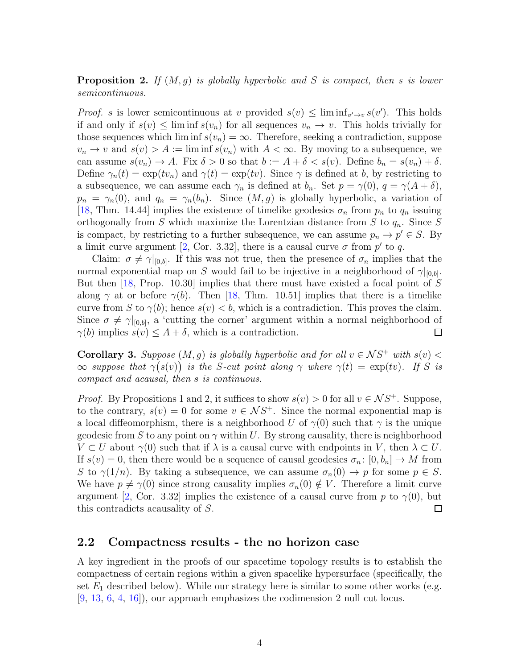<span id="page-3-1"></span>**Proposition 2.** If  $(M, g)$  is globally hyperbolic and S is compact, then s is lower semicontinuous.

*Proof.* s is lower semicontinuous at v provided  $s(v) \leq \liminf_{v' \to v} s(v')$ . This holds if and only if  $s(v) \leq \liminf s(v_n)$  for all sequences  $v_n \to v$ . This holds trivially for those sequences which lim inf  $s(v_n) = \infty$ . Therefore, seeking a contradiction, suppose  $v_n \to v$  and  $s(v) > A := \liminf s(v_n)$  with  $A < \infty$ . By moving to a subsequence, we can assume  $s(v_n) \to A$ . Fix  $\delta > 0$  so that  $b := A + \delta < s(v)$ . Define  $b_n = s(v_n) + \delta$ . Define  $\gamma_n(t) = \exp(tv_n)$  and  $\gamma(t) = \exp(tv)$ . Since  $\gamma$  is defined at b, by restricting to a subsequence, we can assume each  $\gamma_n$  is defined at  $b_n$ . Set  $p = \gamma(0)$ ,  $q = \gamma(A + \delta)$ ,  $p_n = \gamma_n(0)$ , and  $q_n = \gamma_n(b_n)$ . Since  $(M, g)$  is globally hyperbolic, a variation of [\[18,](#page-21-4) Thm. 14.44] implies the existence of timelike geodesics  $\sigma_n$  from  $p_n$  to  $q_n$  issuing orthogonally from S which maximize the Lorentzian distance from S to  $q_n$ . Since S is compact, by restricting to a further subsequence, we can assume  $p_n \to p' \in S$ . By a limit curve argument [\[2,](#page-20-4) Cor. 3.32], there is a causal curve  $\sigma$  from  $p'$  to q.

Claim:  $\sigma \neq \gamma|_{[0,b]}$ . If this was not true, then the presence of  $\sigma_n$  implies that the normal exponential map on S would fail to be injective in a neighborhood of  $\gamma|_{[0,b]}$ . But then  $[18, Prop. 10.30]$  implies that there must have existed a focal point of S along  $\gamma$  at or before  $\gamma(b)$ . Then [\[18,](#page-21-4) Thm. 10.51] implies that there is a timelike curve from S to  $\gamma(b)$ ; hence  $s(v) < b$ , which is a contradiction. This proves the claim. Since  $\sigma \neq \gamma|_{[0,b]}$ , a 'cutting the corner' argument within a normal neighborhood of  $\gamma(b)$  implies  $s(v) \leq A + \delta$ , which is a contradiction.  $\Box$ 

**Corollary 3.** Suppose  $(M, g)$  is globally hyperbolic and for all  $v \in \mathcal{N}S^+$  with  $s(v)$  $\infty$  suppose that  $\gamma(s(v))$  is the S-cut point along  $\gamma$  where  $\gamma(t) = \exp(tv)$ . If S is compact and acausal, then s is continuous.

*Proof.* By Propositions [1](#page-2-2) and [2,](#page-3-1) it suffices to show  $s(v) > 0$  for all  $v \in \mathcal{N}S^+$ . Suppose, to the contrary,  $s(v) = 0$  for some  $v \in \mathcal{N}S<sup>+</sup>$ . Since the normal exponential map is a local diffeomorphism, there is a neighborhood U of  $\gamma(0)$  such that  $\gamma$  is the unique geodesic from S to any point on  $\gamma$  within U. By strong causality, there is neighborhood  $V \subset U$  about  $\gamma(0)$  such that if  $\lambda$  is a causal curve with endpoints in V, then  $\lambda \subset U$ . If  $s(v) = 0$ , then there would be a sequence of causal geodesics  $\sigma_n : [0, b_n] \to M$  from S to  $\gamma(1/n)$ . By taking a subsequence, we can assume  $\sigma_n(0) \to p$  for some  $p \in S$ . We have  $p \neq \gamma(0)$  since strong causality implies  $\sigma_n(0) \notin V$ . Therefore a limit curve argument [\[2,](#page-20-4) Cor. 3.32] implies the existence of a causal curve from p to  $\gamma(0)$ , but this contradicts acausality of S.  $\Box$ 

### <span id="page-3-0"></span>2.2 Compactness results - the no horizon case

A key ingredient in the proofs of our spacetime topology results is to establish the compactness of certain regions within a given spacelike hypersurface (specifically, the set  $E_1$  described below). While our strategy here is similar to some other works (e.g. [\[9,](#page-20-0) [13,](#page-21-0) [6,](#page-20-1) [4,](#page-20-3) [16\]](#page-21-2)), our approach emphasizes the codimension 2 null cut locus.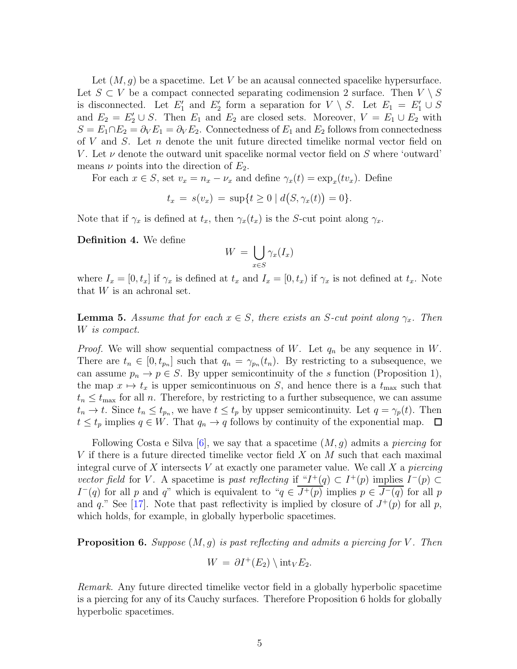Let  $(M, q)$  be a spacetime. Let V be an acausal connected spacelike hypersurface. Let  $S \subset V$  be a compact connected separating codimension 2 surface. Then  $V \setminus S$ is disconnected. Let  $E'_1$  and  $E'_2$  form a separation for  $V \setminus S$ . Let  $E_1 = E'_1 \cup S$ and  $E_2 = E'_2 \cup S$ . Then  $E_1$  and  $E_2$  are closed sets. Moreover,  $V = E_1 \cup E_2$  with  $S = E_1 \cap E_2 = \partial_V E_1 = \partial_V E_2$ . Connectedness of  $E_1$  and  $E_2$  follows from connectedness of  $V$  and  $S$ . Let  $n$  denote the unit future directed timelike normal vector field on V. Let  $\nu$  denote the outward unit spacelike normal vector field on S where 'outward' means  $\nu$  points into the direction of  $E_2$ .

For each  $x \in S$ , set  $v_x = n_x - \nu_x$  and define  $\gamma_x(t) = \exp_x(tv_x)$ . Define

$$
t_x = s(v_x) = \sup\{t \ge 0 \mid d(S, \gamma_x(t)) = 0\}.
$$

Note that if  $\gamma_x$  is defined at  $t_x$ , then  $\gamma_x(t_x)$  is the S-cut point along  $\gamma_x$ .

<span id="page-4-2"></span>Definition 4. We define

$$
W = \bigcup_{x \in S} \gamma_x(I_x)
$$

where  $I_x = [0, t_x]$  if  $\gamma_x$  is defined at  $t_x$  and  $I_x = [0, t_x]$  if  $\gamma_x$  is not defined at  $t_x$ . Note that  $W$  is an achronal set.

<span id="page-4-1"></span>**Lemma 5.** Assume that for each  $x \in S$ , there exists an S-cut point along  $\gamma_x$ . Then W is compact.

*Proof.* We will show sequential compactness of W. Let  $q_n$  be any sequence in W. There are  $t_n \in [0, t_{p_n}]$  such that  $q_n = \gamma_{p_n}(t_n)$ . By restricting to a subsequence, we can assume  $p_n \to p \in S$ . By upper semicontinuity of the s function (Proposition [1\)](#page-2-2), the map  $x \mapsto t_x$  is upper semicontinuous on S, and hence there is a  $t_{\text{max}}$  such that  $t_n \leq t_{\text{max}}$  for all n. Therefore, by restricting to a further subsequence, we can assume  $t_n \to t$ . Since  $t_n \leq t_{p_n}$ , we have  $t \leq t_p$  by uppser semicontinuity. Let  $q = \gamma_p(t)$ . Then  $t \leq t_p$  implies  $q \in W$ . That  $q_n \to q$  follows by continuity of the exponential map.  $\Box$ 

Following Costa e Silva [\[6\]](#page-20-1), we say that a spacetime  $(M, q)$  admits a *piercing* for V if there is a future directed timelike vector field  $X$  on  $M$  such that each maximal integral curve of X intersects V at exactly one parameter value. We call X a *piercing* vector field for V. A spacetime is past reflecting if " $I^+(q) \subset I^+(p)$  implies  $I^-(p) \subset$  $I^-(q)$  for all p and q" which is equivalent to " $q \in \overline{J^+(p)}$  implies  $p \in \overline{J^-(q)}$  for all p and q." See [\[17\]](#page-21-5). Note that past reflectivity is implied by closure of  $J^+(p)$  for all p, which holds, for example, in globally hyperbolic spacetimes.

<span id="page-4-0"></span>**Proposition 6.** Suppose  $(M, g)$  is past reflecting and admits a piercing for V. Then

$$
W = \partial I^+(E_2) \setminus \text{int}_V E_2.
$$

Remark. Any future directed timelike vector field in a globally hyperbolic spacetime is a piercing for any of its Cauchy surfaces. Therefore Proposition [6](#page-4-0) holds for globally hyperbolic spacetimes.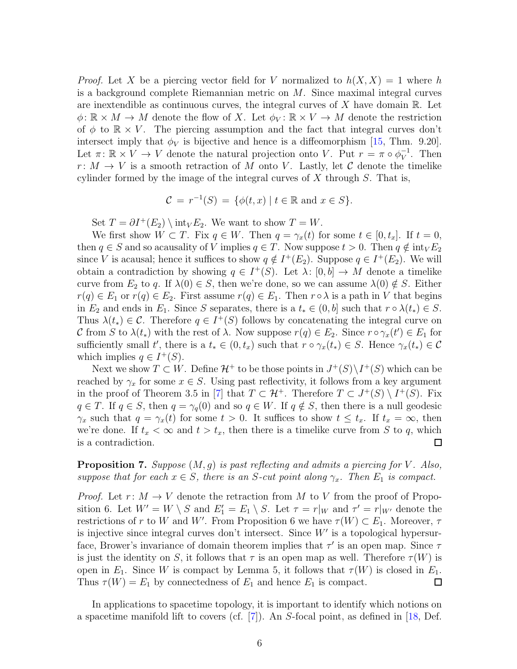*Proof.* Let X be a piercing vector field for V normalized to  $h(X, X) = 1$  where h is a background complete Riemannian metric on  $M$ . Since maximal integral curves are inextendible as continuous curves, the integral curves of  $X$  have domain  $\mathbb{R}$ . Let  $\phi: \mathbb{R} \times M \to M$  denote the flow of X. Let  $\phi_V: \mathbb{R} \times V \to M$  denote the restriction of  $\phi$  to  $\mathbb{R} \times V$ . The piercing assumption and the fact that integral curves don't intersect imply that  $\phi_V$  is bijective and hence is a diffeomorphism [\[15,](#page-21-6) Thm. 9.20]. Let  $\pi: \mathbb{R} \times V \to V$  denote the natural projection onto V. Put  $r = \pi \circ \phi_V^{-1}$ . Then  $r: M \to V$  is a smooth retraction of M onto V. Lastly, let C denote the timelike cylinder formed by the image of the integral curves of  $X$  through  $S$ . That is,

$$
\mathcal{C} = r^{-1}(S) = \{ \phi(t, x) \mid t \in \mathbb{R} \text{ and } x \in S \}.
$$

Set  $T = \partial I^+(E_2) \setminus \text{int}_V E_2$ . We want to show  $T = W$ .

We first show  $W \subset T$ . Fix  $q \in W$ . Then  $q = \gamma_x(t)$  for some  $t \in [0, t_x]$ . If  $t = 0$ , then  $q \in S$  and so acausality of V implies  $q \in T$ . Now suppose  $t > 0$ . Then  $q \notin \text{int}_V E_2$ since V is acausal; hence it suffices to show  $q \notin I^+(E_2)$ . Suppose  $q \in I^+(E_2)$ . We will obtain a contradiction by showing  $q \in I^+(S)$ . Let  $\lambda: [0, b] \to M$  denote a timelike curve from  $E_2$  to q. If  $\lambda(0) \in S$ , then we're done, so we can assume  $\lambda(0) \notin S$ . Either  $r(q) \in E_1$  or  $r(q) \in E_2$ . First assume  $r(q) \in E_1$ . Then  $r \circ \lambda$  is a path in V that begins in  $E_2$  and ends in  $E_1$ . Since S separates, there is a  $t_* \in (0, b]$  such that  $r \circ \lambda(t_*) \in S$ . Thus  $\lambda(t_*) \in \mathcal{C}$ . Therefore  $q \in I^+(S)$  follows by concatenating the integral curve on C from S to  $\lambda(t_*)$  with the rest of  $\lambda$ . Now suppose  $r(q) \in E_2$ . Since  $r \circ \gamma_x(t') \in E_1$  for sufficiently small t', there is a  $t_* \in (0, t_x)$  such that  $r \circ \gamma_x(t_*) \in S$ . Hence  $\gamma_x(t_*) \in \mathcal{C}$ which implies  $q \in I^+(S)$ .

Next we show  $T \subset W$ . Define  $\mathcal{H}^+$  to be those points in  $J^+(S) \setminus I^+(S)$  which can be reached by  $\gamma_x$  for some  $x \in S$ . Using past reflectivity, it follows from a key argument in the proof of Theorem 3.5 in [\[7\]](#page-20-2) that  $T \subset \mathcal{H}^+$ . Therefore  $T \subset J^+(S) \setminus I^+(S)$ . Fix  $q \in T$ . If  $q \in S$ , then  $q = \gamma_q(0)$  and so  $q \in W$ . If  $q \notin S$ , then there is a null geodesic  $\gamma_x$  such that  $q = \gamma_x(t)$  for some  $t > 0$ . It suffices to show  $t \leq t_x$ . If  $t_x = \infty$ , then we're done. If  $t_x < \infty$  and  $t > t_x$ , then there is a timelike curve from S to q, which  $\Box$ is a contradiction.

<span id="page-5-0"></span>**Proposition 7.** Suppose  $(M, q)$  is past reflecting and admits a piercing for V. Also, suppose that for each  $x \in S$ , there is an S-cut point along  $\gamma_x$ . Then  $E_1$  is compact.

*Proof.* Let  $r: M \to V$  denote the retraction from M to V from the proof of Propo-sition [6.](#page-4-0) Let  $W' = W \setminus S$  and  $E'_1 = E_1 \setminus S$ . Let  $\tau = r|_W$  and  $\tau' = r|_{W'}$  denote the restrictions of r to W and W'. From Proposition [6](#page-4-0) we have  $\tau(W) \subset E_1$ . Moreover,  $\tau$ is injective since integral curves don't intersect. Since  $W'$  is a topological hypersurface, Brower's invariance of domain theorem implies that  $\tau'$  is an open map. Since  $\tau$ is just the identity on S, it follows that  $\tau$  is an open map as well. Therefore  $\tau(W)$  is open in  $E_1$ . Since W is compact by Lemma [5,](#page-4-1) it follows that  $\tau(W)$  is closed in  $E_1$ . Thus  $\tau(W) = E_1$  by connectedness of  $E_1$  and hence  $E_1$  is compact.  $\Box$ 

In applications to spacetime topology, it is important to identify which notions on a spacetime manifold lift to covers (cf. [\[7\]](#page-20-2)). An S-focal point, as defined in [\[18,](#page-21-4) Def.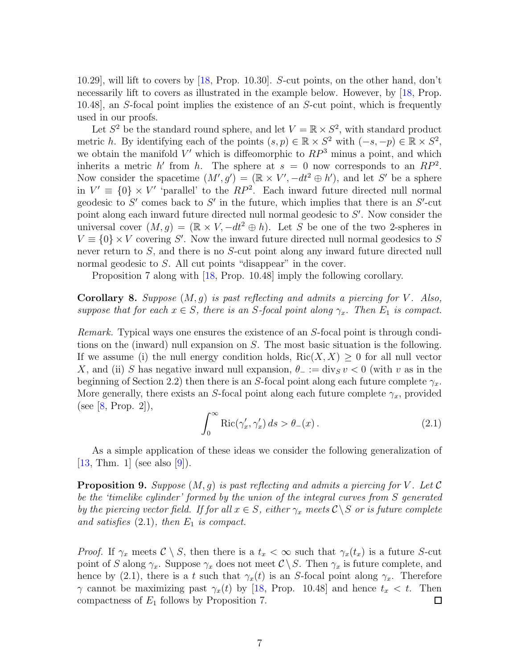10.29], will lift to covers by [\[18,](#page-21-4) Prop. 10.30]. S-cut points, on the other hand, don't necessarily lift to covers as illustrated in the example below. However, by [\[18,](#page-21-4) Prop. 10.48], an S-focal point implies the existence of an S-cut point, which is frequently used in our proofs.

Let  $S^2$  be the standard round sphere, and let  $V = \mathbb{R} \times S^2$ , with standard product metric h. By identifying each of the points  $(s, p) \in \mathbb{R} \times S^2$  with  $(-s, -p) \in \mathbb{R} \times S^2$ , we obtain the manifold  $V'$  which is diffeomorphic to  $RP^3$  minus a point, and which inherits a metric h' from h. The sphere at  $s = 0$  now corresponds to an  $RP^2$ . Now consider the spacetime  $(M', g') = (\mathbb{R} \times V', -dt^2 \oplus h')$ , and let S' be a sphere in  $V' \equiv \{0\} \times V'$  'parallel' to the  $RP^2$ . Each inward future directed null normal geodesic to  $S'$  comes back to  $S'$  in the future, which implies that there is an  $S'$ -cut point along each inward future directed null normal geodesic to S'. Now consider the universal cover  $(M, g) = (\mathbb{R} \times V, -dt^2 \oplus h)$ . Let S be one of the two 2-spheres in  $V \equiv \{0\} \times V$  covering S'. Now the inward future directed null normal geodesics to S never return to S, and there is no S-cut point along any inward future directed null normal geodesic to S. All cut points "disappear" in the cover.

Proposition [7](#page-5-0) along with [\[18,](#page-21-4) Prop. 10.48] imply the following corollary.

<span id="page-6-1"></span>**Corollary 8.** Suppose  $(M, g)$  is past reflecting and admits a piercing for V. Also, suppose that for each  $x \in S$ , there is an S-focal point along  $\gamma_x$ . Then  $E_1$  is compact.

Remark. Typical ways one ensures the existence of an S-focal point is through conditions on the (inward) null expansion on S. The most basic situation is the following. If we assume (i) the null energy condition holds,  $\text{Ric}(X, X) \geq 0$  for all null vector X, and (ii) S has negative inward null expansion,  $\theta_{-} := \text{div}_S v < 0$  (with v as in the beginning of Section [2.2\)](#page-3-0) then there is an S-focal point along each future complete  $\gamma_x$ . More generally, there exists an S-focal point along each future complete  $\gamma_x$ , provided (see [\[8,](#page-20-5) Prop. 2]),

<span id="page-6-0"></span>
$$
\int_0^\infty \text{Ric}(\gamma_x', \gamma_x') ds > \theta_-(x) \,. \tag{2.1}
$$

As a simple application of these ideas we consider the following generalization of [\[13,](#page-21-0) Thm. 1] (see also [\[9\]](#page-20-0)).

**Proposition 9.** Suppose  $(M, g)$  is past reflecting and admits a piercing for V. Let C be the 'timelike cylinder' formed by the union of the integral curves from S generated by the piercing vector field. If for all  $x \in S$ , either  $\gamma_x$  meets  $\mathcal{C} \backslash S$  or is future complete and satisfies  $(2.1)$ , then  $E_1$  is compact.

*Proof.* If  $\gamma_x$  meets  $\mathcal{C} \setminus S$ , then there is a  $t_x < \infty$  such that  $\gamma_x(t_x)$  is a future S-cut point of S along  $\gamma_x$ . Suppose  $\gamma_x$  does not meet  $\mathcal{C}\setminus S$ . Then  $\gamma_x$  is future complete, and hence by [\(2.1\)](#page-6-0), there is a t such that  $\gamma_x(t)$  is an S-focal point along  $\gamma_x$ . Therefore  $\gamma$  cannot be maximizing past  $\gamma_x(t)$  by [\[18,](#page-21-4) Prop. 10.48] and hence  $t_x < t$ . Then compactness of  $E_1$  follows by Proposition [7.](#page-5-0) □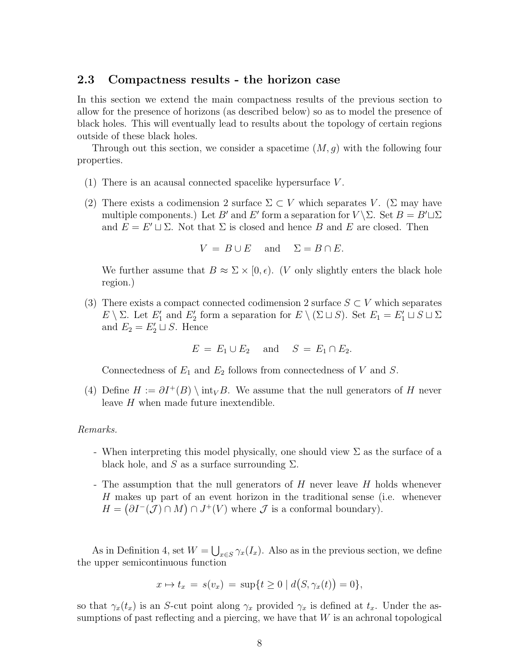## <span id="page-7-0"></span>2.3 Compactness results - the horizon case

In this section we extend the main compactness results of the previous section to allow for the presence of horizons (as described below) so as to model the presence of black holes. This will eventually lead to results about the topology of certain regions outside of these black holes.

Through out this section, we consider a spacetime  $(M, g)$  with the following four properties.

- (1) There is an acausal connected spacelike hypersurface V .
- (2) There exists a codimension 2 surface  $\Sigma \subset V$  which separates V. ( $\Sigma$  may have multiple components.) Let B' and E' form a separation for  $V \setminus \Sigma$ . Set  $B = B' \sqcup \Sigma$ and  $E = E' \sqcup \Sigma$ . Not that  $\Sigma$  is closed and hence B and E are closed. Then

$$
V = B \cup E \quad \text{and} \quad \Sigma = B \cap E.
$$

We further assume that  $B \approx \Sigma \times [0, \epsilon)$ . (V only slightly enters the black hole region.)

(3) There exists a compact connected codimension 2 surface  $S \subset V$  which separates E \  $\Sigma$ . Let  $E'_1$  and  $E'_2$  form a separation for  $E \setminus (\Sigma \sqcup S)$ . Set  $E_1 = E'_1 \sqcup S \sqcup \Sigma$ and  $E_2 = E'_2 \sqcup S$ . Hence

$$
E = E_1 \cup E_2 \quad \text{and} \quad S = E_1 \cap E_2.
$$

Connectedness of  $E_1$  and  $E_2$  follows from connectedness of V and S.

(4) Define  $H := \partial I^+(B) \setminus \text{int}_V B$ . We assume that the null generators of H never leave H when made future inextendible.

#### Remarks.

- When interpreting this model physically, one should view  $\Sigma$  as the surface of a black hole, and S as a surface surrounding  $\Sigma$ .
- The assumption that the null generators of H never leave H holds whenever H makes up part of an event horizon in the traditional sense (i.e. whenever  $H = (\partial I^{-1}(\mathcal{J}) \cap M) \cap J^{+}(V)$  where  $\mathcal{J}$  is a conformal boundary).

As in Definition [4,](#page-4-2) set  $W = \bigcup_{x \in S} \gamma_x(I_x)$ . Also as in the previous section, we define the upper semicontinuous function

$$
x \mapsto t_x = s(v_x) = \sup\{t \ge 0 \mid d(S, \gamma_x(t)) = 0\},\
$$

so that  $\gamma_x(t_x)$  is an S-cut point along  $\gamma_x$  provided  $\gamma_x$  is defined at  $t_x$ . Under the assumptions of past reflecting and a piercing, we have that  $W$  is an achronal topological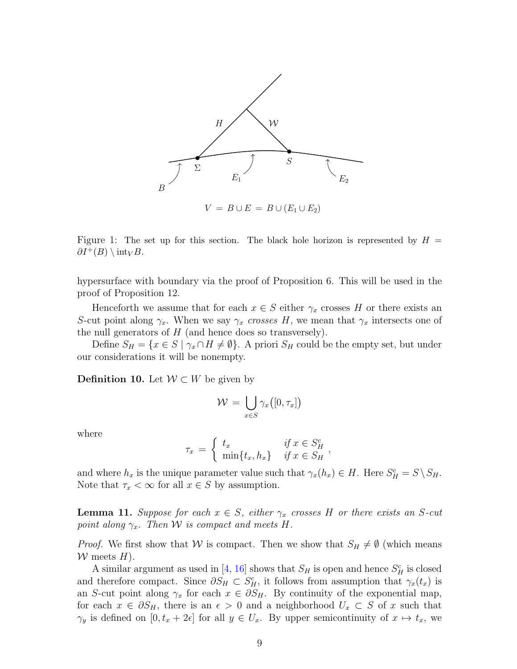

Figure 1: The set up for this section. The black hole horizon is represented by  $H =$  $\partial I^+(B) \setminus \mathrm{int}_V B$ .

hypersurface with boundary via the proof of Proposition [6.](#page-4-0) This will be used in the proof of Proposition [12.](#page-9-0)

Henceforth we assume that for each  $x \in S$  either  $\gamma_x$  crosses H or there exists an S-cut point along  $\gamma_x$ . When we say  $\gamma_x$  crosses H, we mean that  $\gamma_x$  intersects one of the null generators of  $H$  (and hence does so transversely).

Define  $S_H = \{x \in S \mid \gamma_x \cap H \neq \emptyset\}$ . A priori  $S_H$  could be the empty set, but under our considerations it will be nonempty.

Definition 10. Let  $W \subset W$  be given by

$$
\mathcal{W} = \bigcup_{x \in S} \gamma_x([0, \tau_x])
$$

where

$$
\tau_x = \begin{cases} t_x & \text{if } x \in S_H^c \\ \min\{t_x, h_x\} & \text{if } x \in S_H \end{cases}
$$

and where  $h_x$  is the unique parameter value such that  $\gamma_x(h_x) \in H$ . Here  $S_H^c = S \setminus S_H$ . Note that  $\tau_x < \infty$  for all  $x \in S$  by assumption.

<span id="page-8-0"></span>**Lemma 11.** Suppose for each  $x \in S$ , either  $\gamma_x$  crosses H or there exists an S-cut point along  $\gamma_x$ . Then W is compact and meets H.

*Proof.* We first show that W is compact. Then we show that  $S_H \neq \emptyset$  (which means  $W$  meets  $H$ ).

A similar argument as used in [\[4,](#page-20-3) [16\]](#page-21-2) shows that  $S_H$  is open and hence  $S_H^c$  is closed and therefore compact. Since  $\partial S_H \subset S_H^c$ , it follows from assumption that  $\gamma_x(t_x)$  is an S-cut point along  $\gamma_x$  for each  $x \in \partial S_H$ . By continuity of the exponential map, for each  $x \in \partial S_H$ , there is an  $\epsilon > 0$  and a neighborhood  $U_x \subset S$  of x such that  $\gamma_y$  is defined on  $[0, t_x + 2\epsilon]$  for all  $y \in U_x$ . By upper semicontinuity of  $x \mapsto t_x$ , we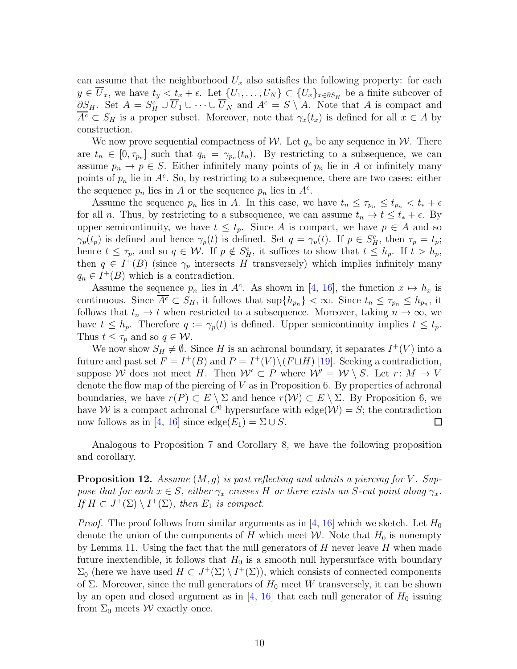can assume that the neighborhood  $U_x$  also satisfies the following property: for each  $y \in U_x$ , we have  $t_y < t_x + \epsilon$ . Let  $\{U_1, \ldots, U_N\} \subset \{U_x\}_{x \in \partial S_H}$  be a finite subcover of  $\partial S_H$ . Set  $A = S_H^c \cup \overline{U}_1 \cup \cdots \cup \overline{U}_N$  and  $A^c = S \setminus A$ . Note that A is compact and  $\overline{A^c} \subset S_H$  is a proper subset. Moreover, note that  $\gamma_x(t_x)$  is defined for all  $x \in A$  by construction.

We now prove sequential compactness of W. Let  $q_n$  be any sequence in W. There are  $t_n \in [0, \tau_{p_n}]$  such that  $q_n = \gamma_{p_n}(t_n)$ . By restricting to a subsequence, we can assume  $p_n \to p \in S$ . Either infinitely many points of  $p_n$  lie in A or infinitely many points of  $p_n$  lie in  $A^c$ . So, by restricting to a subsequence, there are two cases: either the sequence  $p_n$  lies in A or the sequence  $p_n$  lies in  $A^c$ .

Assume the sequence  $p_n$  lies in A. In this case, we have  $t_n \leq \tau_{p_n} \leq t_{p_n} < t_* + \epsilon$ for all *n*. Thus, by restricting to a subsequence, we can assume  $t_n \to t \leq t_* + \epsilon$ . By upper semicontinuity, we have  $t \leq t_p$ . Since A is compact, we have  $p \in A$  and so  $\gamma_p(t_p)$  is defined and hence  $\gamma_p(t)$  is defined. Set  $q = \gamma_p(t)$ . If  $p \in S_H^c$ , then  $\tau_p = t_p$ ; hence  $t \leq \tau_p$ , and so  $q \in \mathcal{W}$ . If  $p \notin S_H^c$ , it suffices to show that  $t \leq h_p$ . If  $t > h_p$ , then  $q \in I^+(B)$  (since  $\gamma_p$  intersects H transversely) which implies infinitely many  $q_n \in I^+(B)$  which is a contradiction.

Assume the sequence  $p_n$  lies in  $A^c$ . As shown in [\[4,](#page-20-3) [16\]](#page-21-2), the function  $x \mapsto h_x$  is continuous. Since  $\overline{A^c} \subset S_H$ , it follows that  $\sup\{h_{p_n}\} < \infty$ . Since  $t_n \leq \tau_{p_n} \leq h_{p_n}$ , it follows that  $t_n \to t$  when restricted to a subsequence. Moreover, taking  $n \to \infty$ , we have  $t \leq h_p$ . Therefore  $q := \gamma_p(t)$  is defined. Upper semicontinuity implies  $t \leq t_p$ . Thus  $t \leq \tau_p$  and so  $q \in \mathcal{W}$ .

We now show  $S_H \neq \emptyset$ . Since H is an achronal boundary, it separates  $I^+(V)$  into a future and past set  $F = I^+(B)$  and  $P = I^+(V) \setminus (F \sqcup H)$  [\[19\]](#page-21-7). Seeking a contradiction, suppose W does not meet H. Then  $\mathcal{W}' \subset P$  where  $\mathcal{W}' = \mathcal{W} \setminus S$ . Let  $r: M \to V$ denote the flow map of the piercing of  $V$  as in Proposition [6.](#page-4-0) By properties of achronal boundaries, we have  $r(P) \subset E \setminus \Sigma$  and hence  $r(W) \subset E \setminus \Sigma$ . By Proposition [6,](#page-4-0) we have W is a compact achronal  $C^0$  hypersurface with edge( $\mathcal{W}$ ) = S; the contradiction now follows as in [\[4,](#page-20-3) [16\]](#page-21-2) since edge $(E_1) = \Sigma \cup S$ .  $\Box$ 

Analogous to Proposition [7](#page-5-0) and Corollary [8,](#page-6-1) we have the following proposition and corollary.

<span id="page-9-0"></span>**Proposition 12.** Assume  $(M, q)$  is past reflecting and admits a piercing for V. Suppose that for each  $x \in S$ , either  $\gamma_x$  crosses H or there exists an S-cut point along  $\gamma_x$ . If  $H \subset J^+(\Sigma) \setminus I^+(\Sigma)$ , then  $E_1$  is compact.

*Proof.* The proof follows from similar arguments as in [\[4,](#page-20-3) [16\]](#page-21-2) which we sketch. Let  $H_0$ denote the union of the components of H which meet W. Note that  $H_0$  is nonempty by Lemma [11.](#page-8-0) Using the fact that the null generators of  $H$  never leave  $H$  when made future inextendible, it follows that  $H_0$  is a smooth null hypersurface with boundary  $\Sigma_0$  (here we have used  $H \subset J^+(\Sigma) \setminus I^+(\Sigma)$ ), which consists of connected components of Σ. Moreover, since the null generators of  $H_0$  meet W transversely, it can be shown by an open and closed argument as in  $[4, 16]$  $[4, 16]$  that each null generator of  $H_0$  issuing from  $\Sigma_0$  meets W exactly once.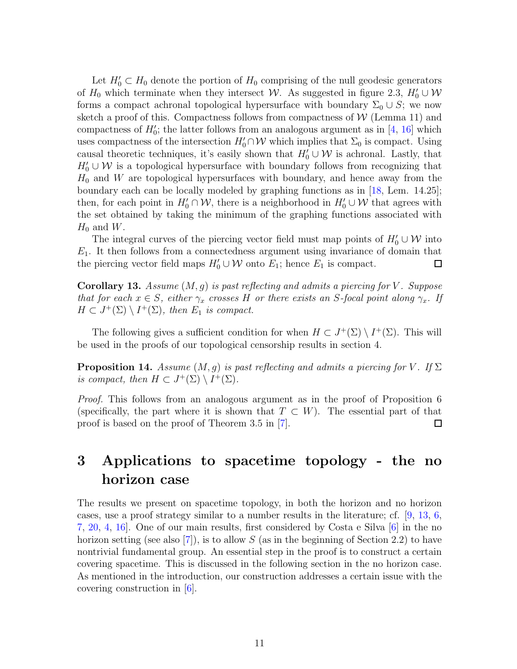Let  $H'_0 \subset H_0$  denote the portion of  $H_0$  comprising of the null geodesic generators of  $H_0$  which terminate when they intersect W. As suggested in figure [2.3,](#page-7-0)  $H'_0 \cup W$ forms a compact achronal topological hypersurface with boundary  $\Sigma_0 \cup S$ ; we now sketch a proof of this. Compactness follows from compactness of  $W$  (Lemma [11\)](#page-8-0) and compactness of  $H'_0$ ; the latter follows from an analogous argument as in [\[4,](#page-20-3) [16\]](#page-21-2) which uses compactness of the intersection  $H'_0 \cap W$  which implies that  $\Sigma_0$  is compact. Using causal theoretic techniques, it's easily shown that  $H'_0 \cup \mathcal{W}$  is achronal. Lastly, that  $H'_0 \cup \mathcal{W}$  is a topological hypersurface with boundary follows from recognizing that  $H_0$  and W are topological hypersurfaces with boundary, and hence away from the boundary each can be locally modeled by graphing functions as in [\[18,](#page-21-4) Lem. 14.25]; then, for each point in  $H'_0 \cap W$ , there is a neighborhood in  $H'_0 \cup W$  that agrees with the set obtained by taking the minimum of the graphing functions associated with  $H_0$  and  $W$ .

The integral curves of the piercing vector field must map points of  $H'_0 \cup \mathcal{W}$  into  $E_1$ . It then follows from a connectedness argument using invariance of domain that the piercing vector field maps  $H'_0 \cup \mathcal{W}$  onto  $E_1$ ; hence  $E_1$  is compact.  $\Box$ 

<span id="page-10-2"></span>**Corollary 13.** Assume  $(M, g)$  is past reflecting and admits a piercing for V. Suppose that for each  $x \in S$ , either  $\gamma_x$  crosses H or there exists an S-focal point along  $\gamma_x$ . If  $H \subset J^+(\Sigma) \setminus I^+(\Sigma)$ , then  $E_1$  is compact.

The following gives a sufficient condition for when  $H \subset J^+(\Sigma) \setminus I^+(\Sigma)$ . This will be used in the proofs of our topological censorship results in section [4.](#page-17-0)

<span id="page-10-1"></span>**Proposition 14.** Assume  $(M, g)$  is past reflecting and admits a piercing for V. If  $\Sigma$ is compact, then  $H \subset J^+(\Sigma) \setminus I^+(\Sigma)$ .

Proof. This follows from an analogous argument as in the proof of Proposition [6](#page-4-0) (specifically, the part where it is shown that  $T \subset W$ ). The essential part of that proof is based on the proof of Theorem 3.5 in [\[7\]](#page-20-2).  $\Box$ 

## <span id="page-10-0"></span>3 Applications to spacetime topology - the no horizon case

The results we present on spacetime topology, in both the horizon and no horizon cases, use a proof strategy similar to a number results in the literature; cf. [\[9,](#page-20-0) [13,](#page-21-0) [6,](#page-20-1) [7,](#page-20-2) [20,](#page-21-1) [4,](#page-20-3) [16\]](#page-21-2). One of our main results, first considered by Costa e Silva [\[6\]](#page-20-1) in the no horizon setting (see also  $[7]$ ), is to allow S (as in the beginning of Section [2.2\)](#page-3-0) to have nontrivial fundamental group. An essential step in the proof is to construct a certain covering spacetime. This is discussed in the following section in the no horizon case. As mentioned in the introduction, our construction addresses a certain issue with the covering construction in [\[6\]](#page-20-1).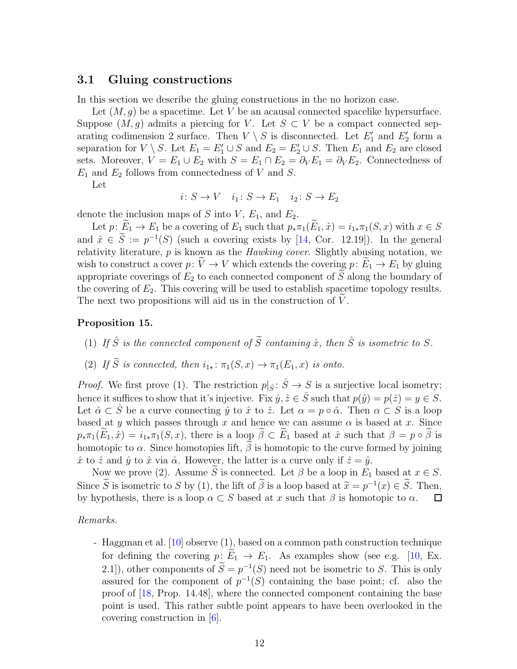### <span id="page-11-0"></span>3.1 Gluing constructions

In this section we describe the gluing constructions in the no horizon case.

Let  $(M, g)$  be a spacetime. Let V be an acausal connected spacelike hypersurface. Suppose  $(M, g)$  admits a piercing for V. Let  $S \subset V$  be a compact connected separating codimension 2 surface. Then  $V \setminus S$  is disconnected. Let  $E'_1$  and  $E'_2$  form a separation for  $V \setminus S$ . Let  $E_1 = E'_1 \cup S$  and  $E_2 = E'_2 \cup S$ . Then  $E_1$  and  $E_2$  are closed sets. Moreover,  $V = E_1 \cup E_2$  with  $S = E_1 \cap E_2 = \partial_V E_1 = \partial_V E_2$ . Connectedness of  $E_1$  and  $E_2$  follows from connectedness of V and S.

Let

$$
i\colon S \to V \quad i_1\colon S \to E_1 \quad i_2\colon S \to E_2
$$

denote the inclusion maps of S into V,  $E_1$ , and  $E_2$ .

Let  $p: \tilde{E}_1 \to E_1$  be a covering of  $E_1$  such that  $p_*\pi_1(\tilde{E}_1, \hat{x}) = i_{1*}\pi_1(S, x)$  with  $x \in S$ and  $\hat{x} \in \hat{S} := p^{-1}(S)$  (such a covering exists by [\[14,](#page-21-8) Cor. 12.19]). In the general relativity literature, p is known as the Hawking cover. Slightly abusing notation, we wish to construct a cover  $p: V \to V$  which extends the covering  $p: E_1 \to E_1$  by gluing appropriate coverings of  $E_2$  to each connected component of  $\widetilde{S}$  along the boundary of the covering of  $E_2$ . This covering will be used to establish spacetime topology results. The next two propositions will aid us in the construction of  $V$ .

#### <span id="page-11-1"></span>Proposition 15.

- (1) If  $\hat{S}$  is the connected component of  $\tilde{S}$  containing  $\hat{x}$ , then  $\hat{S}$  is isometric to S.
- (2) If  $\widetilde{S}$  is connected, then  $i_{1*}: \pi_1(S, x) \to \pi_1(E_1, x)$  is onto.

*Proof.* We first prove (1). The restriction  $p|_{\hat{S}}: \hat{S} \to S$  is a surjective local isometry; hence it suffices to show that it's injective. Fix  $\hat{y}, \hat{z} \in \hat{S}$  such that  $p(\hat{y}) = p(\hat{z}) = y \in S$ . Let  $\hat{\alpha} \subset \hat{S}$  be a curve connecting  $\hat{y}$  to  $\hat{x}$  to  $\hat{z}$ . Let  $\alpha = p \circ \hat{\alpha}$ . Then  $\alpha \subset S$  is a loop based at y which passes through x and hence we can assume  $\alpha$  is based at x. Since  $p_*\pi_1(\widetilde{E}_1,\hat{x}) = i_{1*}\pi_1(S,x)$ , there is a loop  $\widetilde{\beta} \subset \widetilde{E}_1$  based at  $\hat{x}$  such that  $\beta = p \circ \widetilde{\beta}$  is homotopic to  $\alpha$ . Since homotopies lift,  $\beta$  is homotopic to the curve formed by joining  $\hat{x}$  to  $\hat{z}$  and  $\hat{y}$  to  $\hat{x}$  via  $\hat{\alpha}$ . However, the latter is a curve only if  $\hat{z} = \hat{y}$ .

Now we prove (2). Assume S is connected. Let  $\beta$  be a loop in  $E_1$  based at  $x \in S$ . Since S is isometric to S by (1), the lift of  $\beta$  is a loop based at  $\tilde{x} = p^{-1}(x) \in S$ . Then, by hypothesis, there is a loop  $\alpha \subset S$  based at x such that  $\beta$  is homotopic to  $\alpha$ .  $\Box$ 

Remarks.

- Haggman et al. [\[10\]](#page-21-9) observe (1), based on a common path construction technique for defining the covering  $p: \widetilde{E}_1 \to E_1$ . As examples show (see e.g. [\[10,](#page-21-9) Ex. 2.1]), other components of  $S = p^{-1}(S)$  need not be isometric to S. This is only assured for the component of  $p^{-1}(S)$  containing the base point; cf. also the proof of [\[18,](#page-21-4) Prop. 14.48], where the connected component containing the base point is used. This rather subtle point appears to have been overlooked in the covering construction in [\[6\]](#page-20-1).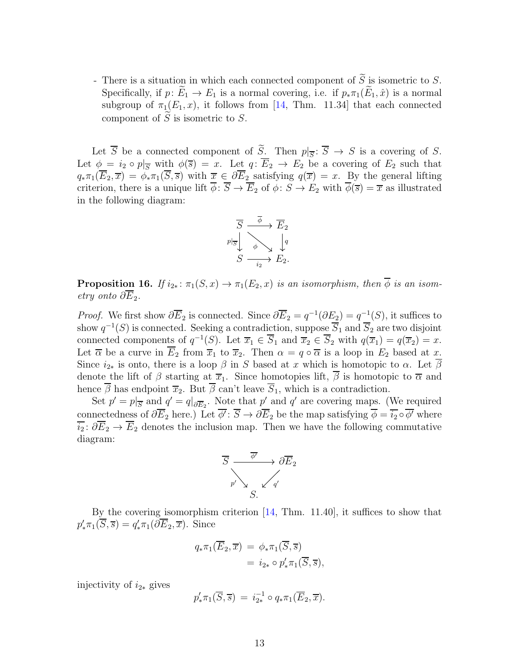- There is a situation in which each connected component of  $\widetilde{S}$  is isometric to S. Specifically, if  $p: E_1 \to E_1$  is a normal covering, i.e. if  $p_* \pi_1(E_1, \hat{x})$  is a normal subgroup of  $\pi_1(E_1, x)$ , it follows from [\[14,](#page-21-8) Thm. 11.34] that each connected component of  $S$  is isometric to  $S$ .

Let S be a connected component of S. Then  $p|_{\overline{S}}: S \to S$  is a covering of S. Let  $\phi = i_2 \circ p|_{\overline{S}}$  with  $\phi(\overline{s}) = x$ . Let  $q: \overline{E}_2 \to E_2$  be a covering of  $E_2$  such that  $q_*\pi_1(\overline{E}_2,\overline{x}) = \phi_*\pi_1(\overline{S},\overline{s})$  with  $\overline{x} \in \partial \overline{E}_2$  satisfying  $q(\overline{x}) = x$ . By the general lifting criterion, there is a unique lift  $\overline{\phi}$ :  $\overline{S} \to \overline{E_2}$  of  $\phi$ :  $\overline{S} \to \overline{E_2}$  with  $\overline{\phi}(\overline{s}) = \overline{x}$  as illustrated in the following diagram:



<span id="page-12-0"></span>**Proposition 16.** If  $i_{2*}: \pi_1(S, x) \to \pi_1(E_2, x)$  is an isomorphism, then  $\overline{\phi}$  is an isometry onto  $\partial E_2$ .

*Proof.* We first show  $\partial \overline{E}_2$  is connected. Since  $\partial \overline{E}_2 = q^{-1}(\partial E_2) = q^{-1}(S)$ , it suffices to show  $q^{-1}(S)$  is connected. Seeking a contradiction, suppose  $\overline{S}_1$  and  $\overline{S}_2$  are two disjoint connected components of  $q^{-1}(S)$ . Let  $\overline{x}_1 \in \overline{S}_1$  and  $\overline{x}_2 \in \overline{S}_2$  with  $q(\overline{x}_1) = q(\overline{x}_2) = x$ . Let  $\overline{\alpha}$  be a curve in  $\overline{E}_2$  from  $\overline{x}_1$  to  $\overline{x}_2$ . Then  $\alpha = q \circ \overline{\alpha}$  is a loop in  $E_2$  based at x. Since  $i_{2*}$  is onto, there is a loop  $\beta$  in S based at x which is homotopic to  $\alpha$ . Let  $\overline{\beta}$ denote the lift of  $\beta$  starting at  $\overline{x}_1$ . Since homotopies lift,  $\overline{\beta}$  is homotopic to  $\overline{\alpha}$  and hence  $\beta$  has endpoint  $\overline{x}_2$ . But  $\beta$  can't leave  $\overline{S}_1$ , which is a contradiction.

Set  $p' = p|_{\overline{S}}$  and  $q' = q|_{\partial \overline{E}_2}$ . Note that  $p'$  and  $q'$  are covering maps. (We required connectedness of  $\partial \overline{E}_2$  here.) Let  $\phi' : \overline{S} \to \partial \overline{E}_2$  be the map satisfying  $\phi = \overline{i_2} \circ \phi'$  where  $\overline{i_2}$ :  $\partial \overline{E}_2 \to \overline{E}_2$  denotes the inclusion map. Then we have the following commutative diagram:



By the covering isomorphism criterion [\[14,](#page-21-8) Thm. 11.40], it suffices to show that  $p'_*\pi_1(\overline{S}, \overline{s}) = q'_*\pi_1(\partial \overline{E}_2, \overline{x})$ . Since

$$
q_* \pi_1(\overline{E}_2, \overline{x}) = \phi_* \pi_1(\overline{S}, \overline{s})
$$
  
=  $i_{2*} \circ p'_* \pi_1(\overline{S}, \overline{s}),$ 

injectivity of  $i_{2*}$  gives

$$
p'_*\pi_1(\overline{S}, \overline{s}) = i_{2*}^{-1} \circ q_*\pi_1(\overline{E}_2, \overline{x}).
$$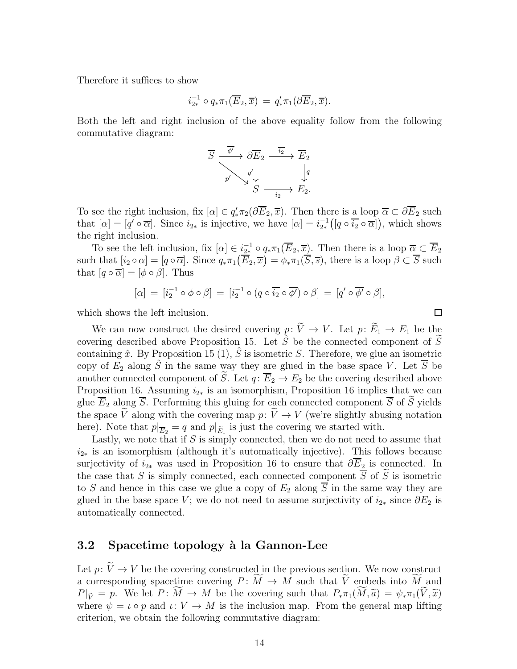Therefore it suffices to show

$$
i_{2*}^{-1} \circ q_* \pi_1(\overline{E}_2, \overline{x}) = q'_* \pi_1(\partial \overline{E}_2, \overline{x}).
$$

Both the left and right inclusion of the above equality follow from the following commutative diagram:

$$
\overline{S} \xrightarrow[p]{\overline{\phi'}} \partial \overline{E}_2 \xrightarrow[\overline{i_2}]{\overline{i_2}} \overline{E}_2
$$
\n
$$
\overline{p'} \searrow \begin{array}{c} q' \\ \downarrow \\ S \xrightarrow[\overline{i_2}]{\overline{i_2}} \xrightarrow[\overline{i_2}]{\overline{e}} E_2. \end{array}
$$

To see the right inclusion, fix  $[\alpha] \in q'_* \pi_2(\partial \overline{E}_2, \overline{x})$ . Then there is a loop  $\overline{\alpha} \subset \partial \overline{E}_2$  such that  $[\alpha] = [q' \circ \overline{\alpha}]$ . Since  $i_{2*}$  is injective, we have  $[\alpha] = i_{2*}^{-1}([q \circ \overline{i_2} \circ \overline{\alpha}])$ , which shows the right inclusion.

To see the left inclusion, fix  $[\alpha] \in \underline{i_{2*}}^{-1} \circ q_* \pi_1(\overline{E}_2, \overline{x})$ . Then there is a loop  $\overline{\alpha} \subset \overline{E}_2$ such that  $[i_2 \circ \alpha] = [q \circ \overline{\alpha}]$ . Since  $q_* \pi_1(\overline{\tilde{E}_2}, \overline{x}) = \phi_* \pi_1(\overline{S}, \overline{s})$ , there is a loop  $\beta \subset \overline{S}$  such that  $[q \circ \overline{\alpha}] = [\phi \circ \beta]$ . Thus

$$
[\alpha] = [i_2^{-1} \circ \phi \circ \beta] = [i_2^{-1} \circ (q \circ \overline{i_2} \circ \overline{\phi'}) \circ \beta] = [q' \circ \overline{\phi'} \circ \beta],
$$

which shows the left inclusion.

We can now construct the desired covering  $p: \widetilde{V} \to V$ . Let  $p: \widetilde{E}_1 \to E_1$  be the covering described above Proposition [15.](#page-11-1) Let  $\hat{S}$  be the connected component of S containing  $\hat{x}$ . By Proposition [15](#page-11-1) (1),  $\hat{S}$  is isometric S. Therefore, we glue an isometric copy of  $E_2$  along  $\hat{S}$  in the same way they are glued in the base space V. Let  $\overline{S}$  be another connected component of  $\widetilde{S}$ . Let  $q: \overline{E}_2 \to E_2$  be the covering described above Proposition [16.](#page-12-0) Assuming  $i_{2*}$  is an isomorphism, Proposition [16](#page-12-0) implies that we can glue  $\overline{E}_2$  along  $\overline{S}$ . Performing this gluing for each connected component  $\overline{S}$  of  $\widetilde{S}$  yields the space  $\tilde{V}$  along with the covering map  $p: \tilde{V} \to V$  (we're slightly abusing notation here). Note that  $p|_{\overline{E}_2} = q$  and  $p|_{\widetilde{E}_1}$  is just the covering we started with.

Lastly, we note that if  $S$  is simply connected, then we do not need to assume that  $i_{2*}$  is an isomorphism (although it's automatically injective). This follows because surjectivity of  $i_{2*}$  was used in Proposition [16](#page-12-0) to ensure that  $\partial \overline{E}_2$  is connected. In the case that S is simply connected, each connected component  $\overline{S}$  of  $\widetilde{S}$  is isometric to S and hence in this case we glue a copy of  $E_2$  along  $\overline{S}$  in the same way they are glued in the base space V; we do not need to assume surjectivity of  $i_{2*}$  since  $\partial E_2$  is automatically connected.

## <span id="page-13-0"></span>3.2 Spacetime topology à la Gannon-Lee

Let  $p: V \to V$  be the covering constructed in the previous section. We now construct a corresponding spacetime covering  $P: \widetilde{M} \to M$  such that  $\widetilde{V}$  embeds into  $\widetilde{M}$  and  $P|_{\widetilde{V}} = p$ . We let  $P: M \to M$  be the covering such that  $P_*\pi_1(M, \widetilde{a}) = \psi_*\pi_1(V, \widetilde{x})$ where  $\psi = \iota \circ p$  and  $\iota: V \to M$  is the inclusion map. From the general map lifting criterion, we obtain the following commutative diagram:

 $\Box$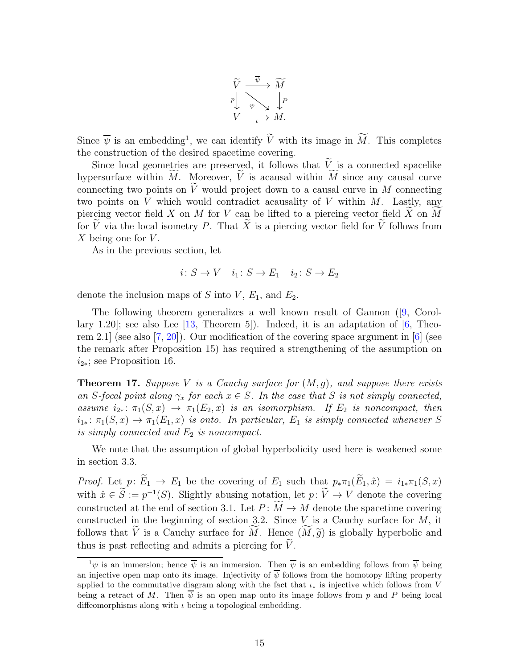

Since  $\overline{\psi}$  is an embedding<sup>[1](#page-14-0)</sup>, we can identify  $\overline{V}$  with its image in M. This completes the construction of the desired spacetime covering.

Since local geometries are preserved, it follows that  $\tilde{V}$  is a connected spacelike hypersurface within  $\widetilde{M}$ . Moreover,  $\widetilde{V}$  is acausal within  $\widetilde{M}$  since any causal curve connecting two points on  $\tilde{V}$  would project down to a causal curve in M connecting two points on  $V$  which would contradict acausality of  $V$  within  $M$ . Lastly, any piercing vector field X on M for V can be lifted to a piercing vector field  $\widetilde{X}$  on  $\widetilde{M}$ for  $\widetilde{V}$  via the local isometry P. That  $\widetilde{X}$  is a piercing vector field for  $\widetilde{V}$  follows from X being one for  $V$ .

As in the previous section, let

$$
i: S \to V \quad i_1: S \to E_1 \quad i_2: S \to E_2
$$

denote the inclusion maps of S into  $V, E_1$ , and  $E_2$ .

The following theorem generalizes a well known result of Gannon ([\[9,](#page-20-0) Corollary 1.20]; see also Lee  $[13,$  Theorem 5]). Indeed, it is an adaptation of  $[6,$  Theorem 2.1 (see also  $(7, 20)$ ). Our modification of the covering space argument in  $[6]$  (see the remark after Proposition [15\)](#page-11-1) has required a strengthening of the assumption on  $i_{2*}$ ; see Proposition [16.](#page-12-0)

<span id="page-14-1"></span>**Theorem 17.** Suppose V is a Cauchy surface for  $(M, g)$ , and suppose there exists an S-focal point along  $\gamma_x$  for each  $x \in S$ . In the case that S is not simply connected, assume  $i_{2*}: \pi_1(S, x) \to \pi_1(E_2, x)$  is an isomorphism. If  $E_2$  is noncompact, then  $i_{1*}: \pi_1(S, x) \to \pi_1(E_1, x)$  is onto. In particular,  $E_1$  is simply connected whenever S is simply connected and  $E_2$  is noncompact.

We note that the assumption of global hyperbolicity used here is weakened some in section [3.3.](#page-15-0)

*Proof.* Let  $p: \widetilde{E}_1 \to E_1$  be the covering of  $E_1$  such that  $p_* \pi_1(\widetilde{E}_1, \hat{x}) = i_{1*} \pi_1(S, x)$ with  $\hat{x} \in \hat{S} := p^{-1}(S)$ . Slightly abusing notation, let  $p: V \to V$  denote the covering constructed at the end of section [3.1.](#page-11-0) Let  $P: \widetilde{M} \to M$  denote the spacetime covering constructed in the beginning of section [3.2.](#page-13-0) Since  $V$  is a Cauchy surface for  $M$ , it follows that V is a Cauchy surface for M. Hence  $(M, \tilde{g})$  is globally hyperbolic and thus is past reflecting and admits a piercing for  $\tilde{V}$ .

<span id="page-14-0"></span> $1_{\psi}$  is an immersion; hence  $\overline{\psi}$  is an immersion. Then  $\overline{\psi}$  is an embedding follows from  $\overline{\psi}$  being an injective open map onto its image. Injectivity of  $\overline{\psi}$  follows from the homotopy lifting property applied to the commutative diagram along with the fact that  $\iota_*$  is injective which follows from V being a retract of M. Then  $\psi$  is an open map onto its image follows from p and P being local diffeomorphisms along with  $\iota$  being a topological embedding.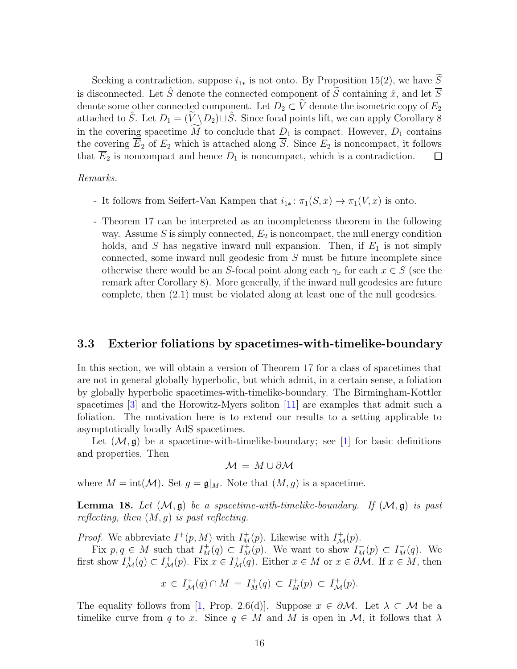Seeking a contradiction, suppose  $i_{1*}$  is not onto. By Proposition [15\(](#page-11-1)2), we have  $\widetilde{S}$ is disconnected. Let  $\hat{S}$  denote the connected component of  $\tilde{S}$  containing  $\hat{x}$ , and let  $\overline{S}$ denote some other connected component. Let  $D_2 \subset \widetilde{V}$  denote the isometric copy of  $E_2$ attached to  $\hat{S}$ . Let  $D_1 = (\tilde{V} \setminus D_2) \sqcup \hat{S}$ . Since focal points lift, we can apply Corollary [8](#page-6-1) in the covering spacetime  $\widetilde{M}$  to conclude that  $D_1$  is compact. However,  $D_1$  contains the covering  $\overline{E}_2$  of  $E_2$  which is attached along  $\overline{S}$ . Since  $E_2$  is noncompact, it follows that  $\overline{E}_2$  is noncompact and hence  $D_1$  is noncompact, which is a contradiction.  $\Box$ 

#### Remarks.

- It follows from Seifert-Van Kampen that  $i_{1*}: \pi_1(S, x) \to \pi_1(V, x)$  is onto.
- Theorem [17](#page-14-1) can be interpreted as an incompleteness theorem in the following way. Assume S is simply connected,  $E_2$  is noncompact, the null energy condition holds, and S has negative inward null expansion. Then, if  $E_1$  is not simply connected, some inward null geodesic from S must be future incomplete since otherwise there would be an S-focal point along each  $\gamma_x$  for each  $x \in S$  (see the remark after Corollary [8\)](#page-6-1). More generally, if the inward null geodesics are future complete, then [\(2.1\)](#page-6-0) must be violated along at least one of the null geodesics.

### <span id="page-15-0"></span>3.3 Exterior foliations by spacetimes-with-timelike-boundary

In this section, we will obtain a version of Theorem [17](#page-14-1) for a class of spacetimes that are not in general globally hyperbolic, but which admit, in a certain sense, a foliation by globally hyperbolic spacetimes-with-timelike-boundary. The Birmingham-Kottler spacetimes [\[3\]](#page-20-6) and the Horowitz-Myers soliton [\[11\]](#page-21-10) are examples that admit such a foliation. The motivation here is to extend our results to a setting applicable to asymptotically locally AdS spacetimes.

Let  $(\mathcal{M}, \mathfrak{g})$  be a spacetime-with-timelike-boundary; see [\[1\]](#page-20-7) for basic definitions and properties. Then

$$
\mathcal{M} = M \cup \partial \mathcal{M}
$$

where  $M = \text{int}(\mathcal{M})$ . Set  $g = \mathfrak{g}|_M$ . Note that  $(M, g)$  is a spacetime.

<span id="page-15-1"></span>**Lemma 18.** Let  $(\mathcal{M}, \mathfrak{g})$  be a spacetime-with-timelike-boundary. If  $(\mathcal{M}, \mathfrak{g})$  is past reflecting, then  $(M, g)$  is past reflecting.

*Proof.* We abbreviate  $I^+(p, M)$  with  $I^+(p)$ . Likewise with  $I^+(p)$ .

Fix  $p, q \in M$  such that  $I_M^+(q) \subset I_M^+(p)$ . We want to show  $I_M^-(p) \subset I_M^-(q)$ . We first show  $I^+_{\mathcal{M}}(q) \subset I^+_{\mathcal{M}}(p)$ . Fix  $x \in I^+_{\mathcal{M}}(q)$ . Either  $x \in M$  or  $x \in \partial \mathcal{M}$ . If  $x \in M$ , then

$$
x \in I^+_{\mathcal{M}}(q) \cap M = I^+_{M}(q) \subset I^+_{M}(p) \subset I^+_{\mathcal{M}}(p).
$$

The equality follows from [\[1,](#page-20-7) Prop. 2.6(d)]. Suppose  $x \in \partial M$ . Let  $\lambda \subset M$  be a timelike curve from q to x. Since  $q \in M$  and M is open in M, it follows that  $\lambda$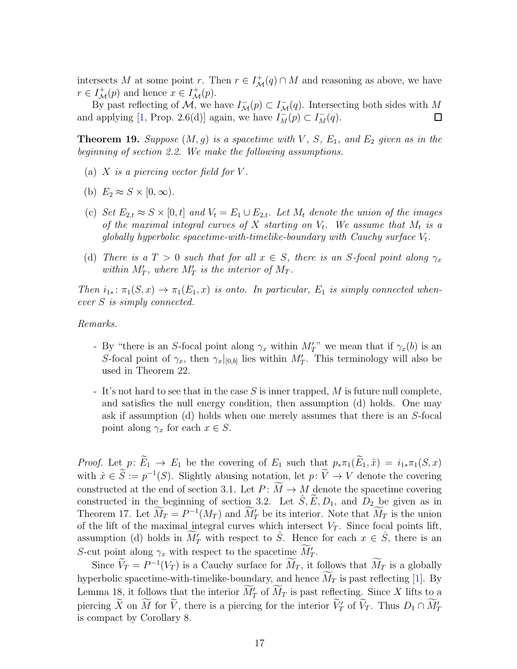intersects M at some point r. Then  $r \in I^+_{\mathcal{M}}(q) \cap M$  and reasoning as above, we have  $r \in I^+_{\mathcal{M}}(p)$  and hence  $x \in I^+_{\mathcal{M}}(p)$ .

By past reflecting of  $\mathcal{M}$ , we have  $I_{\mathcal{M}}^-(p) \subset I_{\mathcal{M}}^-(q)$ . Intersecting both sides with  $M$ and applying [\[1,](#page-20-7) Prop. 2.6(d)] again, we have  $I_M^-(p) \subset I_M^-(q)$ .  $\Box$ 

<span id="page-16-0"></span>**Theorem 19.** Suppose  $(M, g)$  is a spacetime with V, S, E<sub>1</sub>, and E<sub>2</sub> given as in the beginning of section [2.2.](#page-3-0) We make the following assumptions.

- (a)  $X$  is a piercing vector field for  $V$ .
- (b)  $E_2 \approx S \times [0, \infty)$ .
- (c) Set  $E_{2,t} \approx S \times [0, t]$  and  $V_t = E_1 \cup E_{2,t}$ . Let  $M_t$  denote the union of the images of the maximal integral curves of  $X$  starting on  $V_t$ . We assume that  $M_t$  is a globally hyperbolic spacetime-with-timelike-boundary with Cauchy surface  $V_t$ .
- (d) There is a  $T > 0$  such that for all  $x \in S$ , there is an S-focal point along  $\gamma_x$ within  $M'_T$ , where  $M'_T$  is the interior of  $M_T$ .

Then  $i_{1*}: \pi_1(S, x) \to \pi_1(E_1, x)$  is onto. In particular,  $E_1$  is simply connected whenever S is simply connected.

Remarks.

- By "there is an S-focal point along  $\gamma_x$  within  $M'_T$ " we mean that if  $\gamma_x(b)$  is an S-focal point of  $\gamma_x$ , then  $\gamma_x|_{[0,b]}$  lies within  $M'_T$ . This terminology will also be used in Theorem [22.](#page-19-1)
- It's not hard to see that in the case S is inner trapped, M is future null complete, and satisfies the null energy condition, then assumption (d) holds. One may ask if assumption (d) holds when one merely assumes that there is an S-focal point along  $\gamma_x$  for each  $x \in S$ .

*Proof.* Let  $p: \widetilde{E}_1 \to E_1$  be the covering of  $E_1$  such that  $p_* \pi_1(\widetilde{E}_1, \hat{x}) = i_{1*} \pi_1(S, x)$ with  $\hat{x} \in \hat{S} := p^{-1}(S)$ . Slightly abusing notation, let  $p: V \to V$  denote the covering constructed at the end of section [3.1.](#page-11-0) Let  $P: \widetilde{M} \to M$  denote the spacetime covering constructed in the beginning of section [3.2.](#page-13-0) Let  $\hat{S}, \tilde{E}, D_1$ , and  $D_2$  be given as in Theorem [17.](#page-14-1) Let  $M_T = P^{-1}(M_T)$  and  $M'_T$  be its interior. Note that  $M_T$  is the union of the lift of the maximal integral curves which intersect  $V_T$ . Since focal points lift, assumption (d) holds in  $\widetilde{M}'_T$  with respect to  $\hat{S}$ . Hence for each  $x \in \hat{S}$ , there is an S-cut point along  $\gamma_x$  with respect to the spacetime  $M'_T$ .

Since  $V_T = P^{-1}(V_T)$  is a Cauchy surface for  $M_T$ , it follows that  $M_T$  is a globally hyperbolic spacetime-with-timelike-boundary, and hence  $\overline{M}_T$  is past reflecting [\[1\]](#page-20-7). By Lemma [18,](#page-15-1) it follows that the interior  $M'_T$  of  $M_T$  is past reflecting. Since X lifts to a piercing X on M for  $\tilde{V}$ , there is a piercing for the interior  $\tilde{V}'_T$  of  $\tilde{V}_T$ . Thus  $D_1 \cap M'_T$ is compact by Corollary [8.](#page-6-1)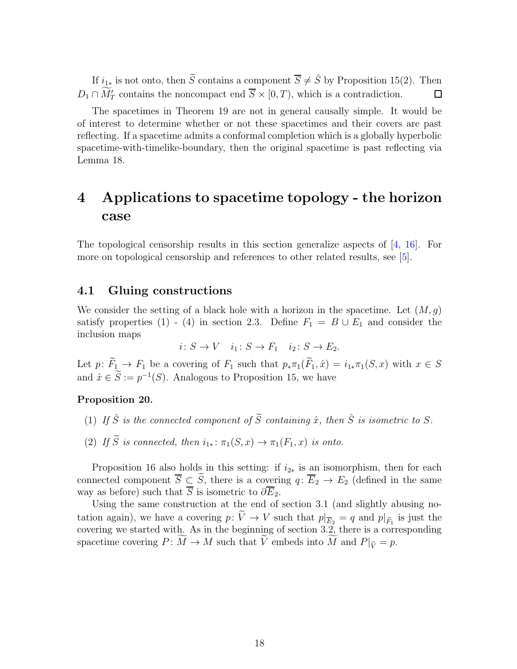If  $i_{1*}$  is not onto, then  $\widetilde{S}$  contains a component  $\overline{S} \neq \widehat{S}$  by Proposition [15\(](#page-11-1)2). Then  $D_1 \cap M'_T$  contains the noncompact end  $\overline{S} \times [0, T)$ , which is a contradiction.  $\Box$ 

The spacetimes in Theorem [19](#page-16-0) are not in general causally simple. It would be of interest to determine whether or not these spacetimes and their covers are past reflecting. If a spacetime admits a conformal completion which is a globally hyperbolic spacetime-with-timelike-boundary, then the original spacetime is past reflecting via Lemma [18.](#page-15-1)

## <span id="page-17-0"></span>4 Applications to spacetime topology - the horizon case

The topological censorship results in this section generalize aspects of [\[4,](#page-20-3) [16\]](#page-21-2). For more on topological censorship and references to other related results, see [\[5\]](#page-20-8).

## <span id="page-17-1"></span>4.1 Gluing constructions

We consider the setting of a black hole with a horizon in the spacetime. Let  $(M, g)$ satisfy properties (1) - (4) in section [2.3.](#page-7-0) Define  $F_1 = B \cup E_1$  and consider the inclusion maps

$$
i\colon S \to V \quad i_1\colon S \to F_1 \quad i_2\colon S \to E_2.
$$

Let  $p: \widetilde{F}_1 \to F_1$  be a covering of  $F_1$  such that  $p_* \pi_1(\widetilde{F}_1, \hat{x}) = i_{1*} \pi_1(S, x)$  with  $x \in S$ and  $\hat{x} \in \hat{S} := p^{-1}(S)$ . Analogous to Proposition [15,](#page-11-1) we have

#### <span id="page-17-2"></span>Proposition 20.

- (1) If  $\hat{S}$  is the connected component of  $\widetilde{S}$  containing  $\hat{x}$ , then  $\hat{S}$  is isometric to  $S$ .
- (2) If  $\widetilde{S}$  is connected, then  $i_{1*}: \pi_1(S, x) \to \pi_1(F_1, x)$  is onto.

Proposition [16](#page-12-0) also holds in this setting: if  $i_{2*}$  is an isomorphism, then for each connected component  $\overline{S} \subseteq \widetilde{S}$ , there is a covering  $q: \overline{E}_2 \to E_2$  (defined in the same way as before) such that  $\overline{S}$  is isometric to  $\partial \overline{E}_2$ .

Using the same construction at the end of section [3.1](#page-11-0) (and slightly abusing notation again), we have a covering  $p: V \to V$  such that  $p|_{\overline{E}_2} = q$  and  $p|_{\widetilde{F}_1}$  is just the covering we started with. As in the beginning of section [3.2,](#page-13-0) there is a corresponding spacetime covering  $P: \widetilde{M} \to M$  such that  $\widetilde{V}$  embeds into  $\widetilde{M}$  and  $P|_{\widetilde{V}} = p$ .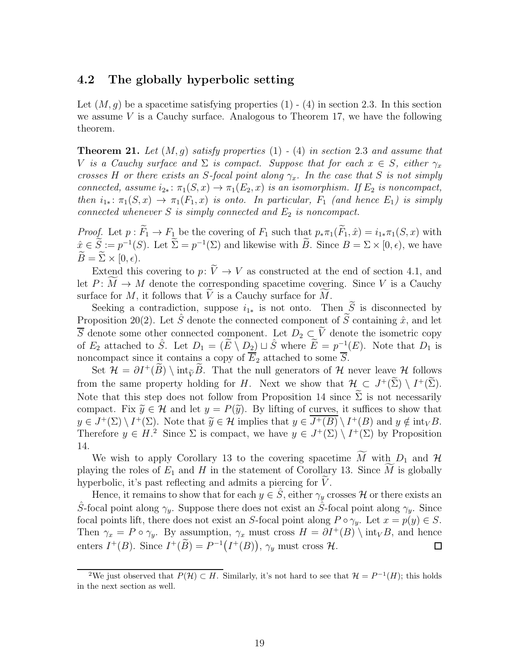## <span id="page-18-0"></span>4.2 The globally hyperbolic setting

Let  $(M, g)$  be a spacetime satisfying properties  $(1)$  -  $(4)$  in section [2.3.](#page-7-0) In this section we assume  $V$  is a Cauchy surface. Analogous to Theorem [17,](#page-14-1) we have the following theorem.

<span id="page-18-2"></span>**Theorem 21.** Let  $(M, g)$  satisfy properties  $(1)$  -  $(4)$  in section [2.3](#page-7-0) and assume that V is a Cauchy surface and  $\Sigma$  is compact. Suppose that for each  $x \in S$ , either  $\gamma_x$ crosses H or there exists an S-focal point along  $\gamma_x$ . In the case that S is not simply connected, assume  $i_{2*}$ :  $\pi_1(S, x) \to \pi_1(E_2, x)$  is an isomorphism. If  $E_2$  is noncompact, then  $i_{1*}: \pi_1(S, x) \to \pi_1(F_1, x)$  is onto. In particular,  $F_1$  (and hence  $E_1$ ) is simply connected whenever  $S$  is simply connected and  $E_2$  is noncompact.

*Proof.* Let  $p : \widetilde{F}_1 \to F_1$  be the covering of  $F_1$  such that  $p_* \pi_1(\widetilde{F}_1, \hat{x}) = i_{1*} \pi_1(S, x)$  with  $\hat{x} \in \hat{S} := p^{-1}(S)$ . Let  $\Sigma = p^{-1}(\Sigma)$  and likewise with B. Since  $B = \Sigma \times [0, \epsilon)$ , we have  $\widetilde{B} = \widetilde{\Sigma} \times [0, \epsilon).$ 

Extend this covering to  $p: \tilde{V} \to V$  as constructed at the end of section [4.1,](#page-17-1) and let  $P: M \to M$  denote the corresponding spacetime covering. Since V is a Cauchy surface for  $M$ , it follows that  $V$  is a Cauchy surface for  $M$ .

Seeking a contradiction, suppose  $i_{1*}$  is not onto. Then  $\widetilde{S}$  is disconnected by Proposition [20\(](#page-17-2)2). Let  $\hat{S}$  denote the connected component of S containing  $\hat{x}$ , and let  $\overline{S}$  denote some other connected component. Let  $D_2 \subset \widetilde{V}$  denote the isometric copy of  $E_2$  attached to  $\hat{S}$ . Let  $D_1 = (\tilde{E} \setminus D_2) \sqcup \hat{S}$  where  $\tilde{E} = p^{-1}(E)$ . Note that  $D_1$  is noncompact since it contains a copy of  $\overline{E}_2$  attached to some  $\overline{S}$ .

Set  $\mathcal{H} = \partial I^+(B) \setminus \text{int}_{\tilde{V}}B$ . That the null generators of H never leave H follows from the same property holding for H. Next we show that  $\mathcal{H}_{\sim} \subset J^+(\Sigma) \setminus I^+(\Sigma)$ . Note that this step does not follow from Proposition [14](#page-10-1) since  $\widetilde{\Sigma}$  is not necessarily compact. Fix  $\tilde{y} \in \mathcal{H}$  and let  $y = P(\tilde{y})$ . By lifting of curves, it suffices to show that  $y \in J^+(\Sigma) \setminus I^+(\Sigma)$ . Note that  $\widetilde{y} \in \mathcal{H}$  implies that  $y \in J^+(B) \setminus I^+(B)$  and  $y \notin \text{int}_V B$ . Therefore  $y \in H$ <sup>[2](#page-18-1)</sup> Since  $\Sigma$  is compact, we have  $y \in J^+(\Sigma) \setminus I^+(\Sigma)$  by Proposition [14.](#page-10-1)

We wish to apply Corollary [13](#page-10-2) to the covering spacetime  $\widetilde{M}$  with  $D_1$  and  $\mathcal{H}$ playing the roles of  $E_1$  and H in the statement of Corollary [13.](#page-10-2) Since M is globally hyperbolic, it's past reflecting and admits a piercing for  $V$ .

Hence, it remains to show that for each  $y \in \hat{S}$ , either  $\gamma_y$  crosses H or there exists an  $\hat{S}$ -focal point along  $\gamma_y$ . Suppose there does not exist an  $\hat{S}$ -focal point along  $\gamma_y$ . Since focal points lift, there does not exist an S-focal point along  $P \circ \gamma_y$ . Let  $x = p(y) \in S$ . Then  $\gamma_x = P \circ \gamma_y$ . By assumption,  $\gamma_x$  must cross  $H = \partial I^+(B) \setminus \text{int}_V B$ , and hence enters  $I^+(B)$ . Since  $I^+(\widetilde{B}) = P^{-1}(I^+(B))$ ,  $\gamma_y$  must cross  $\mathcal{H}$ .  $\Box$ 

<span id="page-18-1"></span><sup>&</sup>lt;sup>2</sup>We just observed that  $P(\mathcal{H}) \subset H$ . Similarly, it's not hard to see that  $\mathcal{H} = P^{-1}(H)$ ; this holds in the next section as well.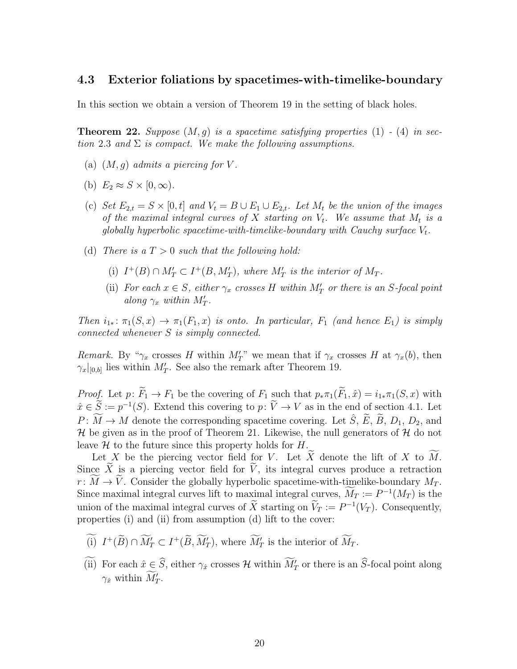### <span id="page-19-0"></span>4.3 Exterior foliations by spacetimes-with-timelike-boundary

In this section we obtain a version of Theorem [19](#page-16-0) in the setting of black holes.

<span id="page-19-1"></span>**Theorem 22.** Suppose  $(M, g)$  is a spacetime satisfying properties  $(1)$  -  $(4)$  in sec-tion [2.3](#page-7-0) and  $\Sigma$  is compact. We make the following assumptions.

- (a)  $(M, q)$  admits a piercing for V.
- (b)  $E_2 \approx S \times [0, \infty)$ .
- (c) Set  $E_{2,t} = S \times [0,t]$  and  $V_t = B \cup E_1 \cup E_{2,t}$ . Let  $M_t$  be the union of the images of the maximal integral curves of X starting on  $V_t$ . We assume that  $M_t$  is a globally hyperbolic spacetime-with-timelike-boundary with Cauchy surface  $V_t$ .
- (d) There is a  $T > 0$  such that the following hold:
	- (i)  $I^+(B) \cap M'_T \subset I^+(B, M'_T)$ , where  $M'_T$  is the interior of  $M_T$ .
	- (ii) For each  $x \in S$ , either  $\gamma_x$  crosses H within  $M'_T$  or there is an S-focal point along  $\gamma_x$  within  $M'_T$ .

Then  $i_{1*}: \pi_1(S, x) \to \pi_1(F_1, x)$  is onto. In particular,  $F_1$  (and hence  $E_1$ ) is simply connected whenever S is simply connected.

Remark. By " $\gamma_x$  crosses H within  $M'_T$ " we mean that if  $\gamma_x$  crosses H at  $\gamma_x(b)$ , then  $\gamma_x|_{[0,b]}$  lies within  $M'_T$ . See also the remark after Theorem [19.](#page-16-0)

*Proof.* Let  $p: \widetilde{F}_1 \to F_1$  be the covering of  $F_1$  such that  $p_*\pi_1(\widetilde{F}_1, \hat{x}) = i_{1*}\pi_1(S, x)$  with  $\hat{x} \in \mathcal{S} := p^{-1}(S)$ . Extend this covering to  $p: V \to V$  as in the end of section [4.1.](#page-17-1) Let  $P: \widetilde{M} \to M$  denote the corresponding spacetime covering. Let  $\hat{S}$ ,  $\widetilde{E}$ ,  $\widetilde{B}$ ,  $D_1$ ,  $D_2$ , and  $\mathcal H$  be given as in the proof of Theorem [21.](#page-18-2) Likewise, the null generators of  $\mathcal H$  do not leave  $\mathcal H$  to the future since this property holds for  $H$ .

Let X be the piercing vector field for V. Let X denote the lift of X to  $M$ . Since  $\tilde{X}$  is a piercing vector field for  $\tilde{V}$ , its integral curves produce a retraction  $r: \widetilde{M} \to \widetilde{V}$ . Consider the globally hyperbolic spacetime-with-timelike-boundary  $M_T$ . Since maximal integral curves lift to maximal integral curves,  $M_T := P^{-1}(M_T)$  is the union of the maximal integral curves of X starting on  $V_T := P^{-1}(V_T)$ . Consequently, properties (i) and (ii) from assumption (d) lift to the cover:

- (i)  $I^+(B) \cap M'_T \subset I^+(B, M'_T)$ , where  $M'_T$  is the interior of  $M_T$ .
- (ii) For each  $\hat{x} \in \hat{S}$ , either  $\gamma_{\hat{x}}$  crosses H within  $M'_T$  or there is an  $\hat{S}$ -focal point along  $\gamma_{\hat{x}}$  within  $M'_T$ .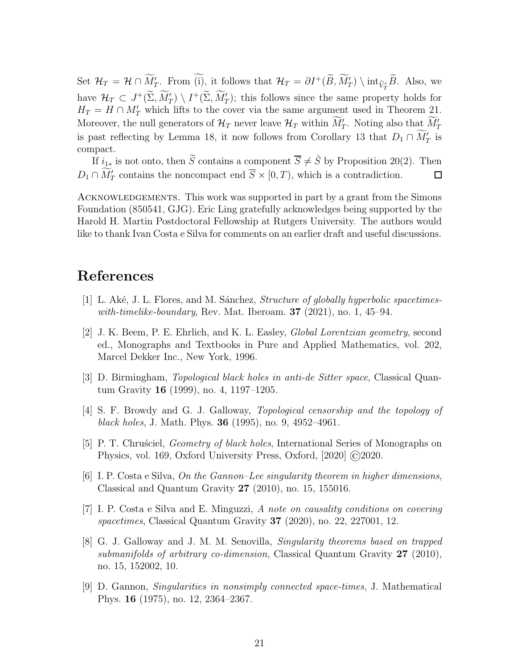Set  $\mathcal{H}_T = \mathcal{H} \cap M'_T$ . From (i), it follows that  $\mathcal{H}_T = \partial I^+(B, M'_T) \setminus \text{int}_{\widetilde{V}_T} B$ . Also, we have  $\mathcal{H}_T \subset J^+(\Sigma, M'_T) \setminus I^+(\Sigma, M'_T)$ ; this follows since the same property holds for  $H_T = H \cap M'_T$  which lifts to the cover via the same argument used in Theorem [21.](#page-18-2) Moreover, the null generators of  $\mathcal{H}_T$  never leave  $\mathcal{H}_T$  within  $M'_T$ . Noting also that  $M'_T$ is past reflecting by Lemma [18,](#page-15-1) it now follows from Corollary [13](#page-10-2) that  $D_1 \cap M'_T$  is compact.

If  $i_{1*}$  is not onto, then  $\widetilde{S}$  contains a component  $\overline{S} \neq \widehat{S}$  by Proposition [20\(](#page-17-2)2). Then  $D_1 \cap M'_T$  contains the noncompact end  $\overline{S} \times [0, T)$ , which is a contradiction.  $\Box$ 

ACKNOWLEDGEMENTS. This work was supported in part by a grant from the Simons Foundation (850541, GJG). Eric Ling gratefully acknowledges being supported by the Harold H. Martin Postdoctoral Fellowship at Rutgers University. The authors would like to thank Ivan Costa e Silva for comments on an earlier draft and useful discussions.

## <span id="page-20-7"></span>References

- <span id="page-20-4"></span> $[1]$  L. Aké, J. L. Flores, and M. Sánchez, *Structure of globally hyperbolic spacetimes*with-timelike-boundary, Rev. Mat. Iberoam.  $37$  (2021), no. 1, 45–94.
- [2] J. K. Beem, P. E. Ehrlich, and K. L. Easley, Global Lorentzian geometry, second ed., Monographs and Textbooks in Pure and Applied Mathematics, vol. 202, Marcel Dekker Inc., New York, 1996.
- <span id="page-20-6"></span>[3] D. Birmingham, Topological black holes in anti-de Sitter space, Classical Quantum Gravity 16 (1999), no. 4, 1197–1205.
- <span id="page-20-3"></span>[4] S. F. Browdy and G. J. Galloway, Topological censorship and the topology of black holes, J. Math. Phys. **36** (1995), no. 9, 4952-4961.
- <span id="page-20-8"></span>[5] P. T. Chrusciel, *Geometry of black holes*, International Series of Monographs on Physics, vol. 169, Oxford University Press, Oxford, [2020] ©2020.
- <span id="page-20-1"></span>[6] I. P. Costa e Silva, On the Gannon–Lee singularity theorem in higher dimensions, Classical and Quantum Gravity  $27$  (2010), no. 15, 155016.
- <span id="page-20-2"></span>[7] I. P. Costa e Silva and E. Minguzzi, A note on causality conditions on covering spacetimes, Classical Quantum Gravity  $37$  (2020), no. 22, 227001, 12.
- <span id="page-20-5"></span>[8] G. J. Galloway and J. M. M. Senovilla, Singularity theorems based on trapped submanifolds of arbitrary co-dimension, Classical Quantum Gravity  $27$  (2010), no. 15, 152002, 10.
- <span id="page-20-0"></span>[9] D. Gannon, Singularities in nonsimply connected space-times, J. Mathematical Phys. 16 (1975), no. 12, 2364–2367.